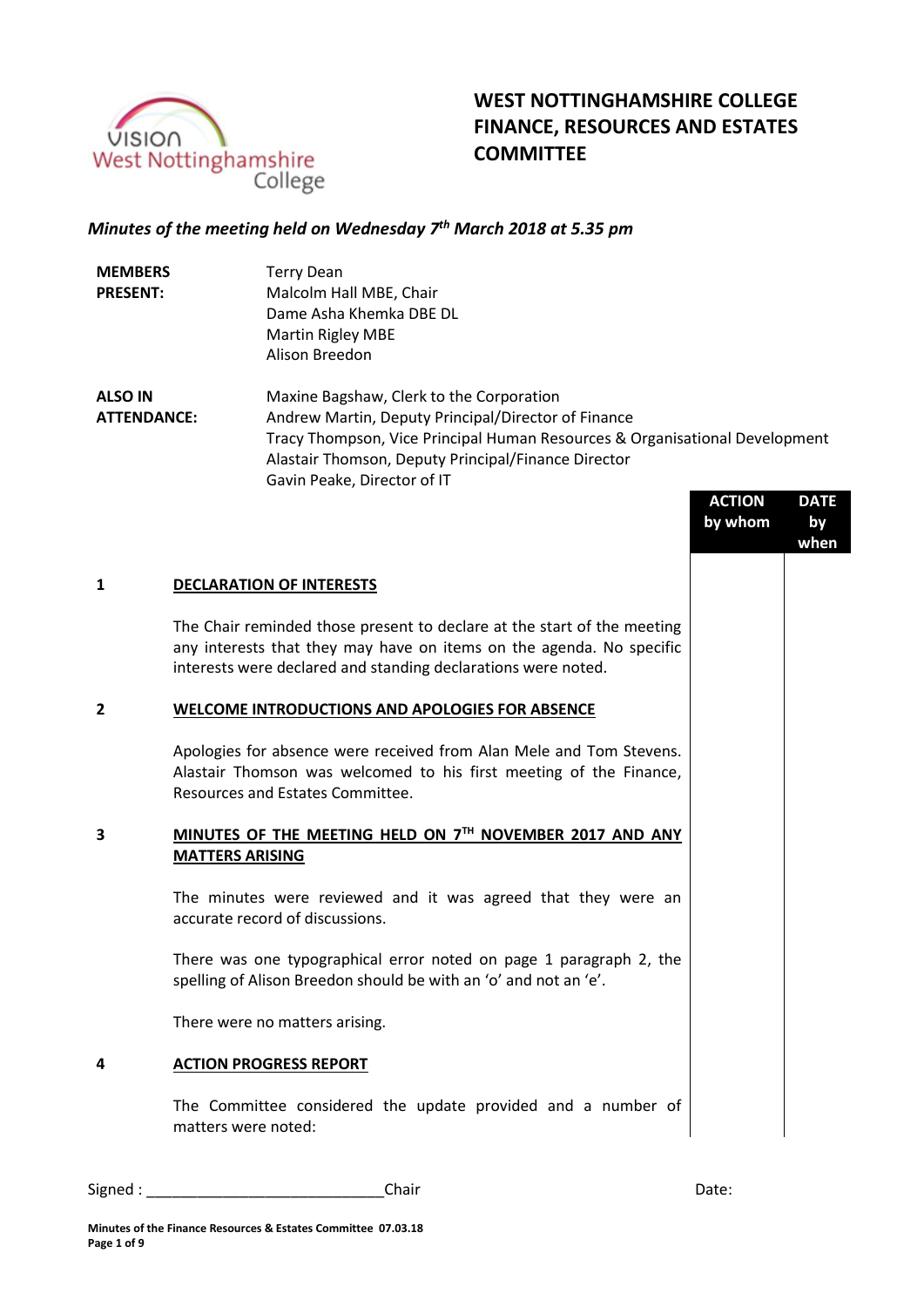

# **WEST NOTTINGHAMSHIRE COLLEGE FINANCE, RESOURCES AND ESTATES COMMITTEE**

## *Minutes of the meeting held on Wednesday 7 th March 2018 at 5.35 pm*

| <b>MEMBERS</b>  | <b>Terry Dean</b>        |
|-----------------|--------------------------|
| <b>PRESENT:</b> | Malcolm Hall MBE, Chair  |
|                 | Dame Asha Khemka DBE DL  |
|                 | <b>Martin Rigley MBE</b> |
|                 | Alison Breedon           |

**ALSO IN ATTENDANCE:** Maxine Bagshaw, Clerk to the Corporation Andrew Martin, Deputy Principal/Director of Finance Tracy Thompson, Vice Principal Human Resources & Organisational Development Alastair Thomson, Deputy Principal/Finance Director Gavin Peake, Director of IT

|   |                                                                                                                                                                                                                  | <b>ACTION</b><br>by whom | <b>DATE</b><br>by<br>when |
|---|------------------------------------------------------------------------------------------------------------------------------------------------------------------------------------------------------------------|--------------------------|---------------------------|
| 1 | <b>DECLARATION OF INTERESTS</b>                                                                                                                                                                                  |                          |                           |
|   | The Chair reminded those present to declare at the start of the meeting<br>any interests that they may have on items on the agenda. No specific<br>interests were declared and standing declarations were noted. |                          |                           |
| 2 | WELCOME INTRODUCTIONS AND APOLOGIES FOR ABSENCE                                                                                                                                                                  |                          |                           |
|   | Apologies for absence were received from Alan Mele and Tom Stevens.<br>Alastair Thomson was welcomed to his first meeting of the Finance,<br>Resources and Estates Committee.                                    |                          |                           |
| З | MINUTES OF THE MEETING HELD ON 7TH NOVEMBER 2017 AND ANY<br><b>MATTERS ARISING</b>                                                                                                                               |                          |                           |
|   | The minutes were reviewed and it was agreed that they were an<br>accurate record of discussions.                                                                                                                 |                          |                           |
|   | There was one typographical error noted on page 1 paragraph 2, the<br>spelling of Alison Breedon should be with an 'o' and not an 'e'.                                                                           |                          |                           |
|   | There were no matters arising.                                                                                                                                                                                   |                          |                           |
| 4 | <b>ACTION PROGRESS REPORT</b>                                                                                                                                                                                    |                          |                           |
|   | The Committee considered the update provided and a number of<br>matters were noted:                                                                                                                              |                          |                           |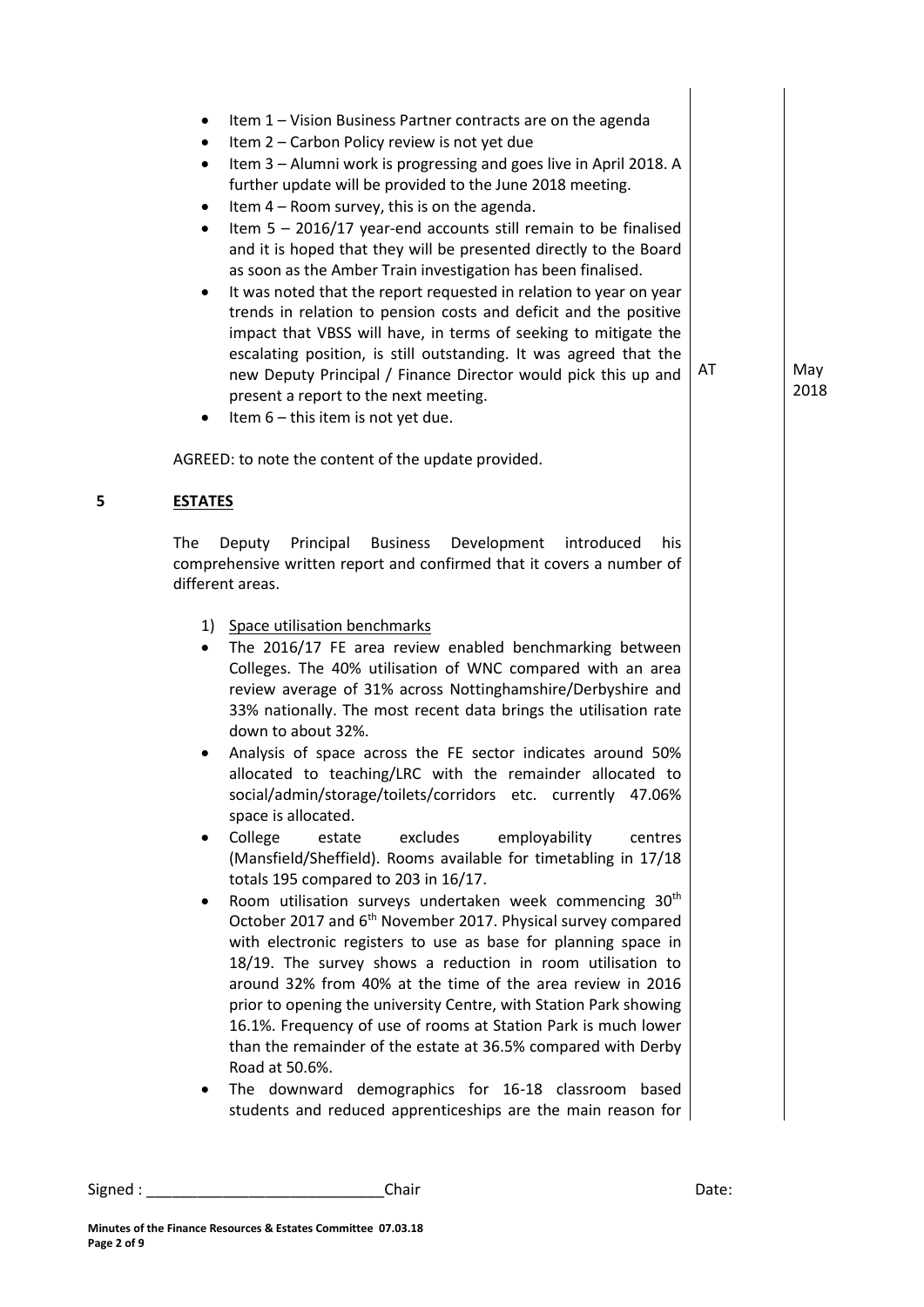|   | Item 1 - Vision Business Partner contracts are on the agenda<br>٠<br>Item 2 - Carbon Policy review is not yet due<br>٠<br>Item 3 - Alumni work is progressing and goes live in April 2018. A<br>٠<br>further update will be provided to the June 2018 meeting.<br>Item 4 - Room survey, this is on the agenda.<br>٠<br>Item $5 - 2016/17$ year-end accounts still remain to be finalised<br>$\bullet$<br>and it is hoped that they will be presented directly to the Board<br>as soon as the Amber Train investigation has been finalised.<br>It was noted that the report requested in relation to year on year<br>٠<br>trends in relation to pension costs and deficit and the positive<br>impact that VBSS will have, in terms of seeking to mitigate the<br>escalating position, is still outstanding. It was agreed that the<br>new Deputy Principal / Finance Director would pick this up and<br>present a report to the next meeting.<br>Item 6 - this item is not yet due.<br>٠                                                                                                                                                                                                                                                                                                                                                                                                                                                   | AT | May<br>2018 |
|---|-------------------------------------------------------------------------------------------------------------------------------------------------------------------------------------------------------------------------------------------------------------------------------------------------------------------------------------------------------------------------------------------------------------------------------------------------------------------------------------------------------------------------------------------------------------------------------------------------------------------------------------------------------------------------------------------------------------------------------------------------------------------------------------------------------------------------------------------------------------------------------------------------------------------------------------------------------------------------------------------------------------------------------------------------------------------------------------------------------------------------------------------------------------------------------------------------------------------------------------------------------------------------------------------------------------------------------------------------------------------------------------------------------------------------------------------|----|-------------|
|   | AGREED: to note the content of the update provided.                                                                                                                                                                                                                                                                                                                                                                                                                                                                                                                                                                                                                                                                                                                                                                                                                                                                                                                                                                                                                                                                                                                                                                                                                                                                                                                                                                                       |    |             |
| 5 | <b>ESTATES</b>                                                                                                                                                                                                                                                                                                                                                                                                                                                                                                                                                                                                                                                                                                                                                                                                                                                                                                                                                                                                                                                                                                                                                                                                                                                                                                                                                                                                                            |    |             |
|   | The<br>Principal<br><b>Business</b><br>Development<br>Deputy<br>introduced<br>his<br>comprehensive written report and confirmed that it covers a number of<br>different areas.                                                                                                                                                                                                                                                                                                                                                                                                                                                                                                                                                                                                                                                                                                                                                                                                                                                                                                                                                                                                                                                                                                                                                                                                                                                            |    |             |
|   | 1) Space utilisation benchmarks<br>The 2016/17 FE area review enabled benchmarking between<br>$\bullet$<br>Colleges. The 40% utilisation of WNC compared with an area<br>review average of 31% across Nottinghamshire/Derbyshire and<br>33% nationally. The most recent data brings the utilisation rate<br>down to about 32%.<br>Analysis of space across the FE sector indicates around 50%<br>allocated to teaching/LRC with the remainder allocated to<br>social/admin/storage/toilets/corridors etc. currently 47.06%<br>space is allocated.<br>College<br>excludes<br>employability<br>estate<br>centres<br>$\bullet$<br>(Mansfield/Sheffield). Rooms available for timetabling in 17/18<br>totals 195 compared to 203 in 16/17.<br>Room utilisation surveys undertaken week commencing 30 <sup>th</sup><br>October 2017 and 6 <sup>th</sup> November 2017. Physical survey compared<br>with electronic registers to use as base for planning space in<br>18/19. The survey shows a reduction in room utilisation to<br>around 32% from 40% at the time of the area review in 2016<br>prior to opening the university Centre, with Station Park showing<br>16.1%. Frequency of use of rooms at Station Park is much lower<br>than the remainder of the estate at 36.5% compared with Derby<br>Road at 50.6%.<br>The downward demographics for 16-18 classroom based<br>students and reduced apprenticeships are the main reason for |    |             |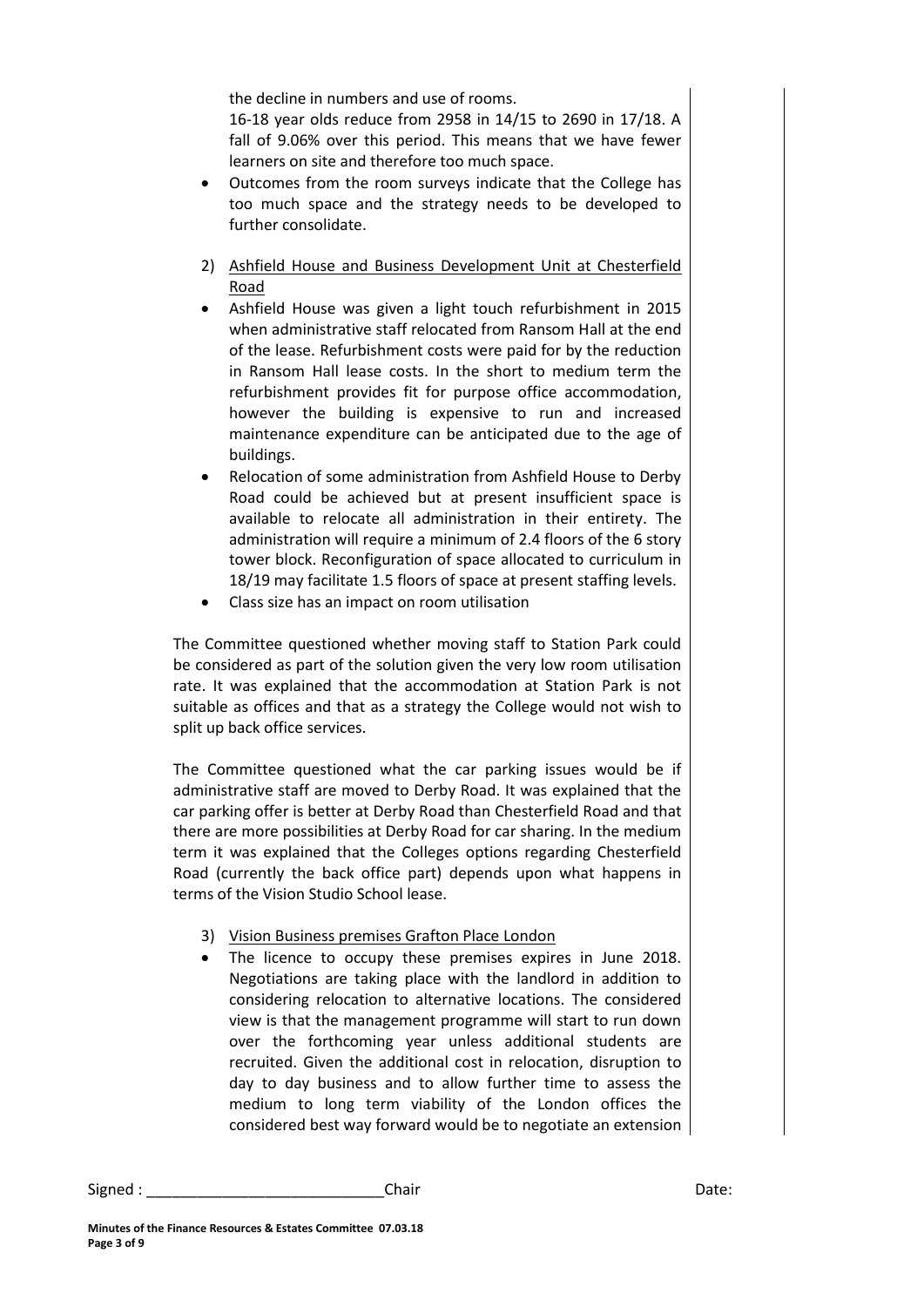the decline in numbers and use of rooms.

16-18 year olds reduce from 2958 in 14/15 to 2690 in 17/18. A fall of 9.06% over this period. This means that we have fewer learners on site and therefore too much space.

- Outcomes from the room surveys indicate that the College has too much space and the strategy needs to be developed to further consolidate.
- 2) Ashfield House and Business Development Unit at Chesterfield Road
- Ashfield House was given a light touch refurbishment in 2015 when administrative staff relocated from Ransom Hall at the end of the lease. Refurbishment costs were paid for by the reduction in Ransom Hall lease costs. In the short to medium term the refurbishment provides fit for purpose office accommodation, however the building is expensive to run and increased maintenance expenditure can be anticipated due to the age of buildings.
- Relocation of some administration from Ashfield House to Derby Road could be achieved but at present insufficient space is available to relocate all administration in their entirety. The administration will require a minimum of 2.4 floors of the 6 story tower block. Reconfiguration of space allocated to curriculum in 18/19 may facilitate 1.5 floors of space at present staffing levels.
- Class size has an impact on room utilisation

The Committee questioned whether moving staff to Station Park could be considered as part of the solution given the very low room utilisation rate. It was explained that the accommodation at Station Park is not suitable as offices and that as a strategy the College would not wish to split up back office services.

The Committee questioned what the car parking issues would be if administrative staff are moved to Derby Road. It was explained that the car parking offer is better at Derby Road than Chesterfield Road and that there are more possibilities at Derby Road for car sharing. In the medium term it was explained that the Colleges options regarding Chesterfield Road (currently the back office part) depends upon what happens in terms of the Vision Studio School lease.

- 3) Vision Business premises Grafton Place London
- The licence to occupy these premises expires in June 2018. Negotiations are taking place with the landlord in addition to considering relocation to alternative locations. The considered view is that the management programme will start to run down over the forthcoming year unless additional students are recruited. Given the additional cost in relocation, disruption to day to day business and to allow further time to assess the medium to long term viability of the London offices the considered best way forward would be to negotiate an extension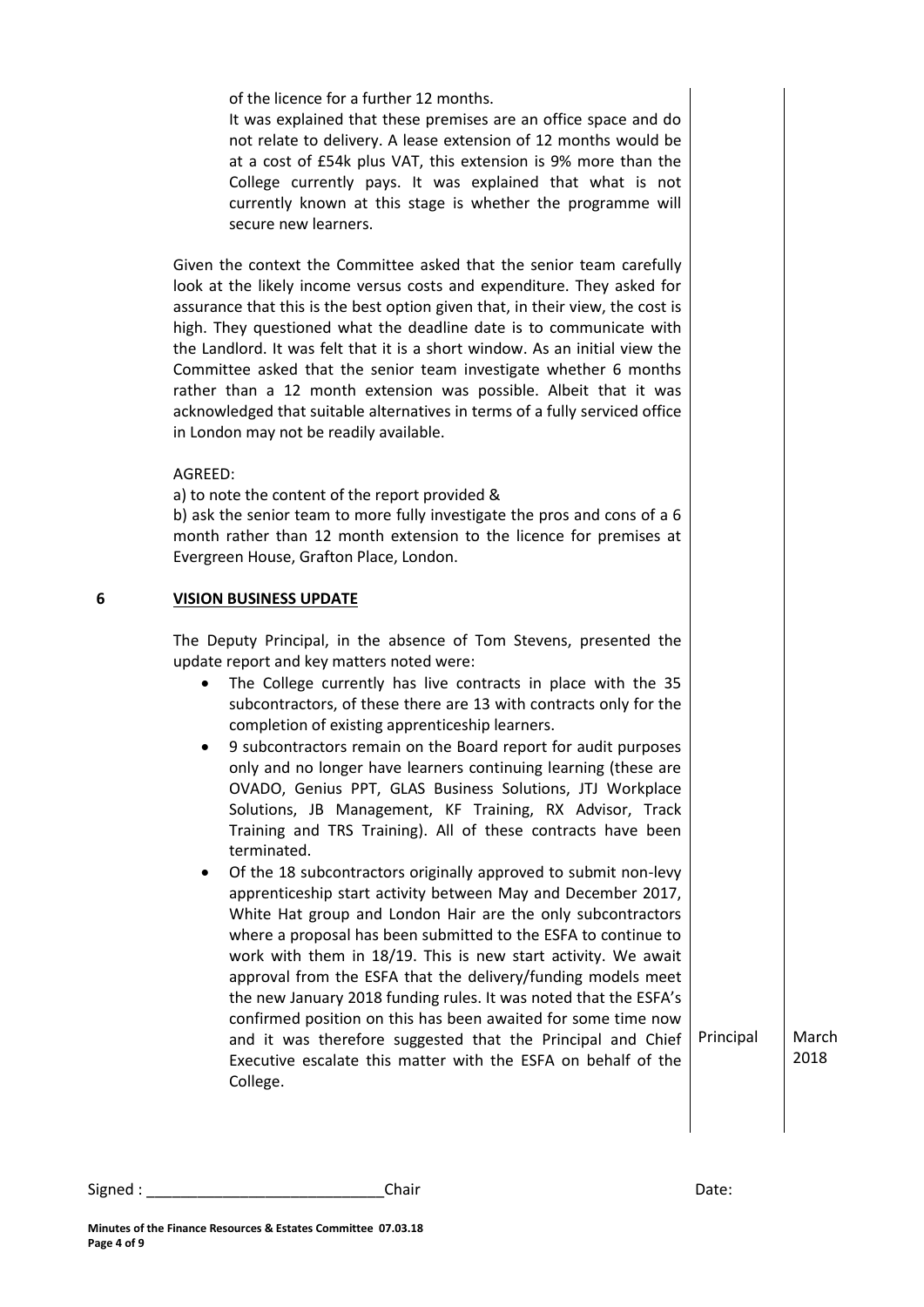of the licence for a further 12 months.

It was explained that these premises are an office space and do not relate to delivery. A lease extension of 12 months would be at a cost of £54k plus VAT, this extension is 9% more than the College currently pays. It was explained that what is not currently known at this stage is whether the programme will secure new learners.

Given the context the Committee asked that the senior team carefully look at the likely income versus costs and expenditure. They asked for assurance that this is the best option given that, in their view, the cost is high. They questioned what the deadline date is to communicate with the Landlord. It was felt that it is a short window. As an initial view the Committee asked that the senior team investigate whether 6 months rather than a 12 month extension was possible. Albeit that it was acknowledged that suitable alternatives in terms of a fully serviced office in London may not be readily available.

## AGREED:

a) to note the content of the report provided &

b) ask the senior team to more fully investigate the pros and cons of a 6 month rather than 12 month extension to the licence for premises at Evergreen House, Grafton Place, London.

## **6 VISION BUSINESS UPDATE**

The Deputy Principal, in the absence of Tom Stevens, presented the update report and key matters noted were:

- The College currently has live contracts in place with the 35 subcontractors, of these there are 13 with contracts only for the completion of existing apprenticeship learners.
- 9 subcontractors remain on the Board report for audit purposes only and no longer have learners continuing learning (these are OVADO, Genius PPT, GLAS Business Solutions, JTJ Workplace Solutions, JB Management, KF Training, RX Advisor, Track Training and TRS Training). All of these contracts have been terminated.
- Of the 18 subcontractors originally approved to submit non-levy apprenticeship start activity between May and December 2017, White Hat group and London Hair are the only subcontractors where a proposal has been submitted to the ESFA to continue to work with them in 18/19. This is new start activity. We await approval from the ESFA that the delivery/funding models meet the new January 2018 funding rules. It was noted that the ESFA's confirmed position on this has been awaited for some time now and it was therefore suggested that the Principal and Chief Executive escalate this matter with the ESFA on behalf of the College.

Principal | March 2018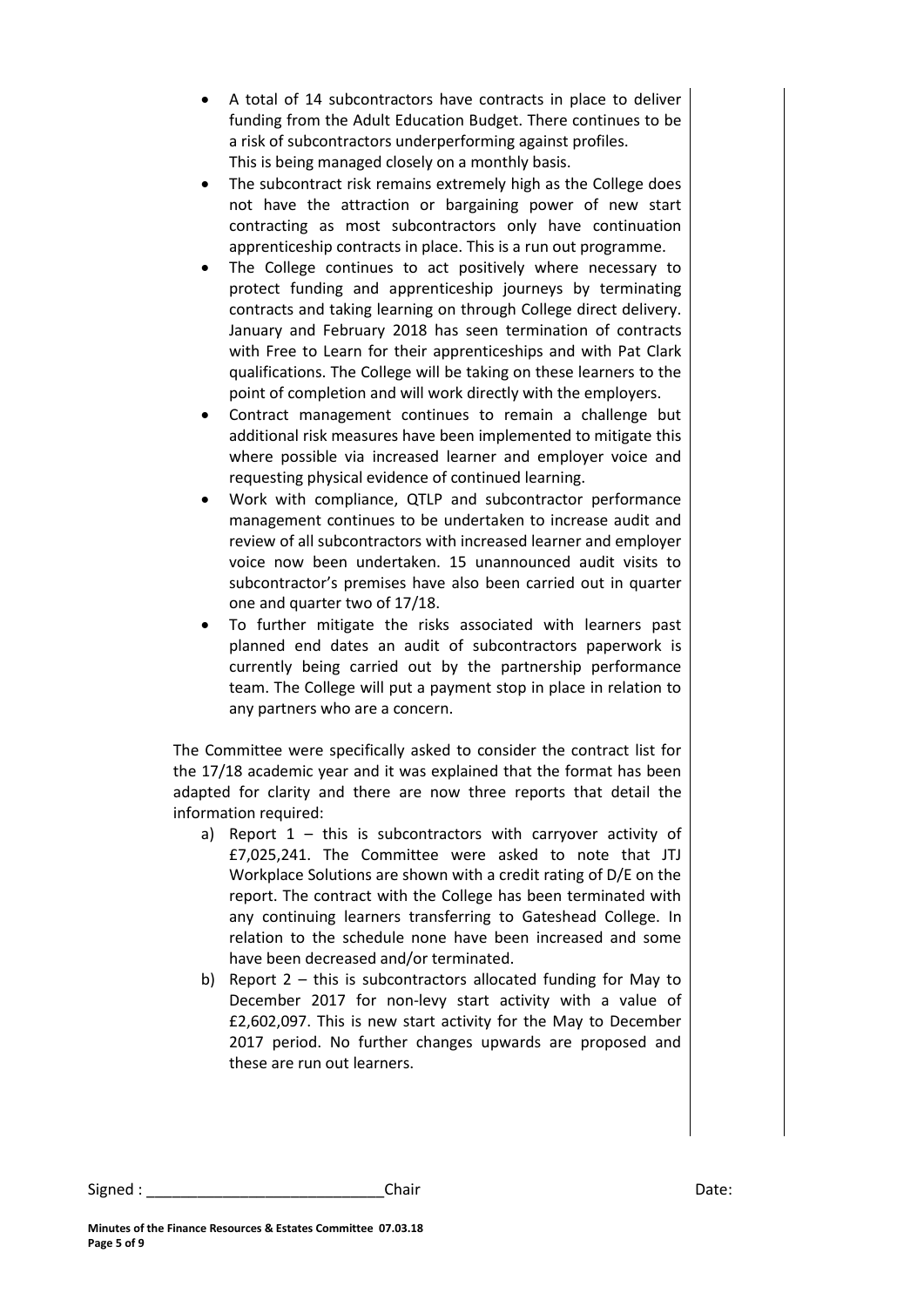- A total of 14 subcontractors have contracts in place to deliver funding from the Adult Education Budget. There continues to be a risk of subcontractors underperforming against profiles. This is being managed closely on a monthly basis.
- The subcontract risk remains extremely high as the College does not have the attraction or bargaining power of new start contracting as most subcontractors only have continuation apprenticeship contracts in place. This is a run out programme.
- The College continues to act positively where necessary to protect funding and apprenticeship journeys by terminating contracts and taking learning on through College direct delivery. January and February 2018 has seen termination of contracts with Free to Learn for their apprenticeships and with Pat Clark qualifications. The College will be taking on these learners to the point of completion and will work directly with the employers.
- Contract management continues to remain a challenge but additional risk measures have been implemented to mitigate this where possible via increased learner and employer voice and requesting physical evidence of continued learning.
- Work with compliance, QTLP and subcontractor performance management continues to be undertaken to increase audit and review of all subcontractors with increased learner and employer voice now been undertaken. 15 unannounced audit visits to subcontractor's premises have also been carried out in quarter one and quarter two of 17/18.
- To further mitigate the risks associated with learners past planned end dates an audit of subcontractors paperwork is currently being carried out by the partnership performance team. The College will put a payment stop in place in relation to any partners who are a concern.

The Committee were specifically asked to consider the contract list for the 17/18 academic year and it was explained that the format has been adapted for clarity and there are now three reports that detail the information required:

- a) Report  $1 -$  this is subcontractors with carryover activity of £7,025,241. The Committee were asked to note that JTJ Workplace Solutions are shown with a credit rating of D/E on the report. The contract with the College has been terminated with any continuing learners transferring to Gateshead College. In relation to the schedule none have been increased and some have been decreased and/or terminated.
- b) Report 2 this is subcontractors allocated funding for May to December 2017 for non-levy start activity with a value of £2,602,097. This is new start activity for the May to December 2017 period. No further changes upwards are proposed and these are run out learners.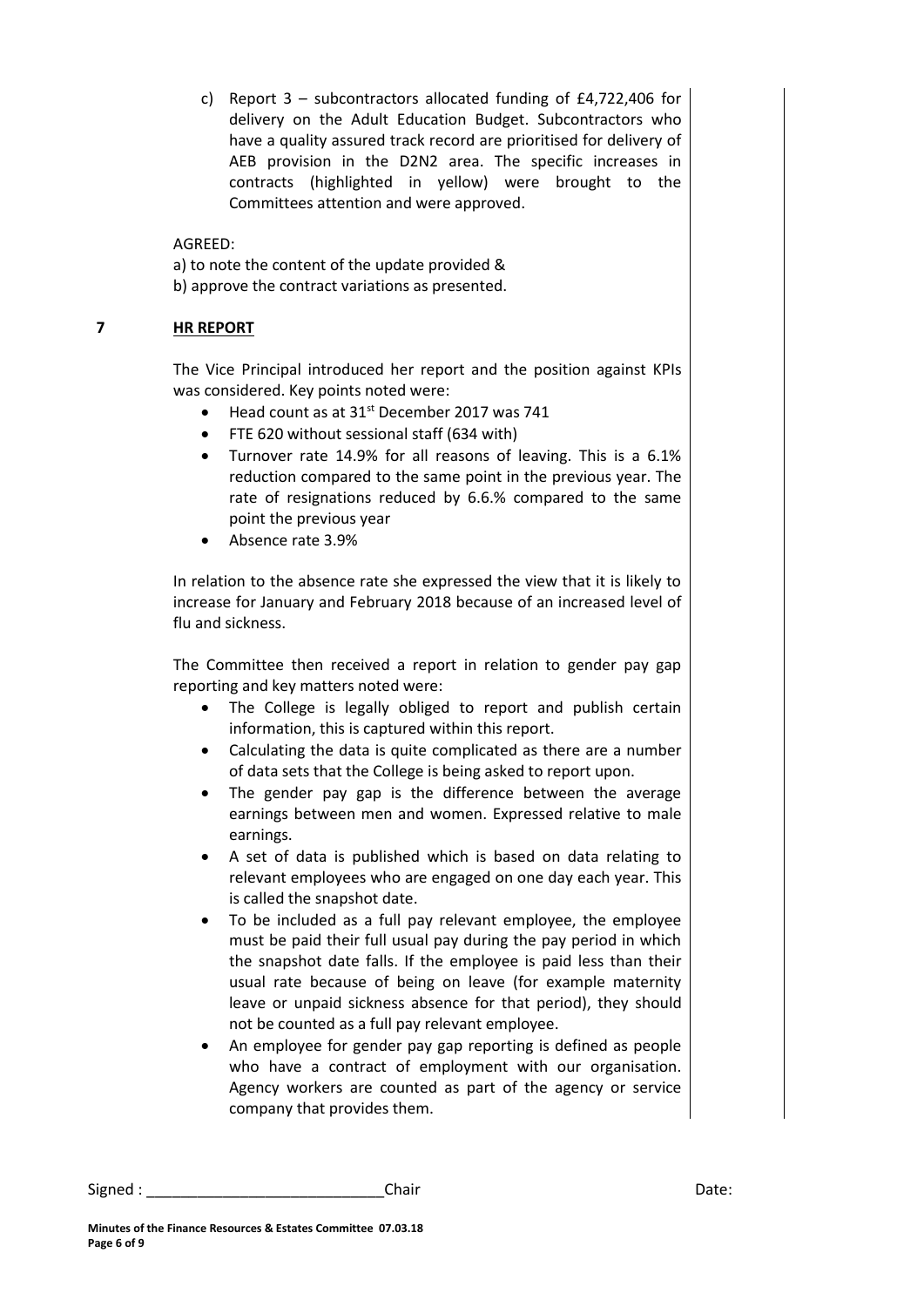c) Report 3 – subcontractors allocated funding of £4,722,406 for delivery on the Adult Education Budget. Subcontractors who have a quality assured track record are prioritised for delivery of AEB provision in the D2N2 area. The specific increases in contracts (highlighted in yellow) were brought to the Committees attention and were approved.

AGREED:

a) to note the content of the update provided & b) approve the contract variations as presented.

# **7 HR REPORT**

The Vice Principal introduced her report and the position against KPIs was considered. Key points noted were:

- $\bullet$  Head count as at 31<sup>st</sup> December 2017 was 741
- FTE 620 without sessional staff (634 with)
- Turnover rate 14.9% for all reasons of leaving. This is a 6.1% reduction compared to the same point in the previous year. The rate of resignations reduced by 6.6.% compared to the same point the previous year
- Absence rate 3.9%

In relation to the absence rate she expressed the view that it is likely to increase for January and February 2018 because of an increased level of flu and sickness.

The Committee then received a report in relation to gender pay gap reporting and key matters noted were:

- The College is legally obliged to report and publish certain information, this is captured within this report.
- Calculating the data is quite complicated as there are a number of data sets that the College is being asked to report upon.
- The gender pay gap is the difference between the average earnings between men and women. Expressed relative to male earnings.
- A set of data is published which is based on data relating to relevant employees who are engaged on one day each year. This is called the snapshot date.
- To be included as a full pay relevant employee, the employee must be paid their full usual pay during the pay period in which the snapshot date falls. If the employee is paid less than their usual rate because of being on leave (for example maternity leave or unpaid sickness absence for that period), they should not be counted as a full pay relevant employee.
- An employee for gender pay gap reporting is defined as people who have a contract of employment with our organisation. Agency workers are counted as part of the agency or service company that provides them.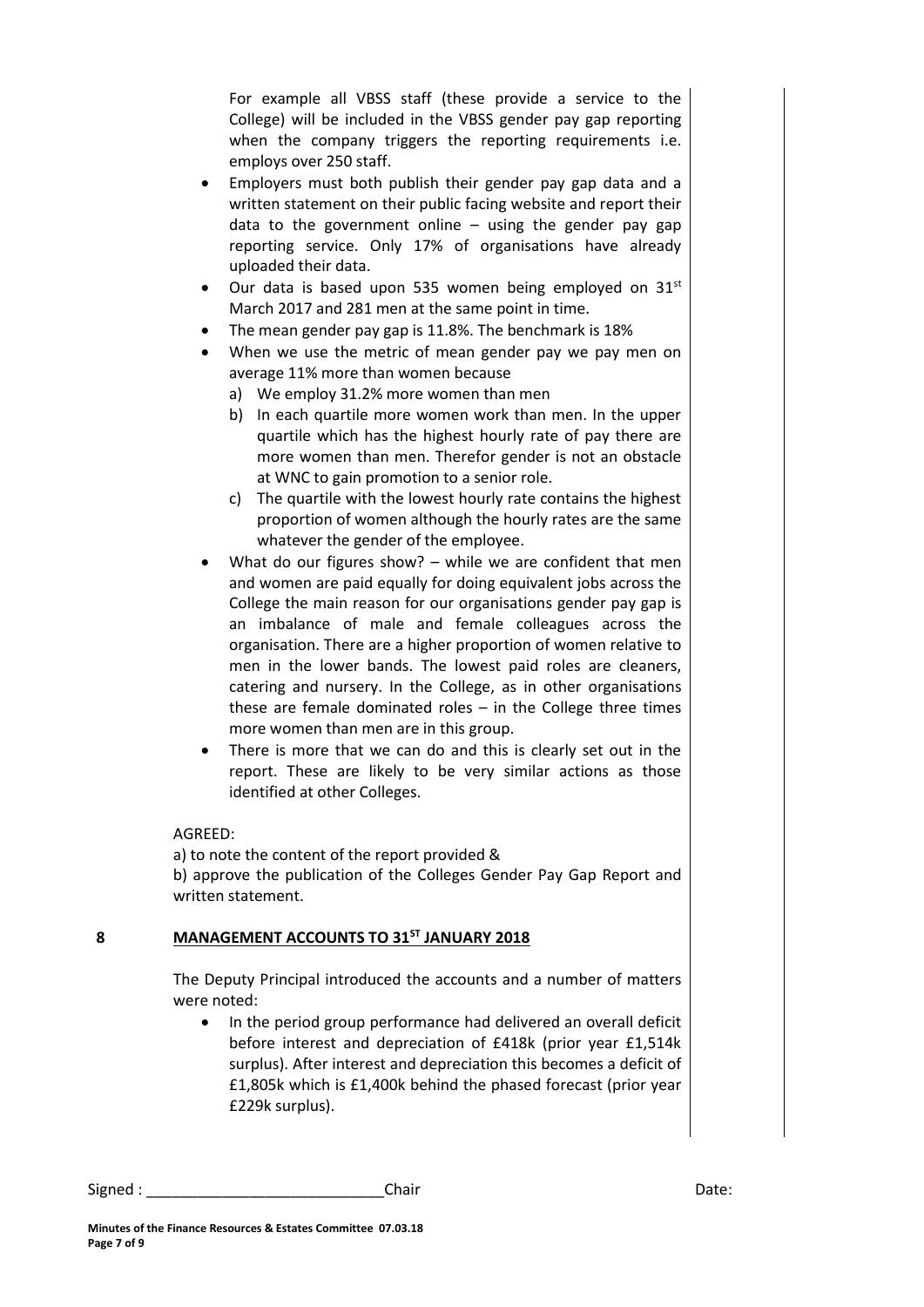For example all VBSS staff (these provide a service to the College) will be included in the VBSS gender pay gap reporting when the company triggers the reporting requirements i.e. employs over 250 staff.

- Employers must both publish their gender pay gap data and a written statement on their public facing website and report their data to the government online  $-$  using the gender pay gap reporting service. Only 17% of organisations have already uploaded their data.
- $\bullet$  Our data is based upon 535 women being employed on 31st March 2017 and 281 men at the same point in time.
- The mean gender pay gap is 11.8%. The benchmark is 18%
- When we use the metric of mean gender pay we pay men on average 11% more than women because
	- a) We employ 31.2% more women than men
	- b) In each quartile more women work than men. In the upper quartile which has the highest hourly rate of pay there are more women than men. Therefor gender is not an obstacle at WNC to gain promotion to a senior role.
	- c) The quartile with the lowest hourly rate contains the highest proportion of women although the hourly rates are the same whatever the gender of the employee.
- What do our figures show? while we are confident that men and women are paid equally for doing equivalent jobs across the College the main reason for our organisations gender pay gap is an imbalance of male and female colleagues across the organisation. There are a higher proportion of women relative to men in the lower bands. The lowest paid roles are cleaners, catering and nursery. In the College, as in other organisations these are female dominated roles – in the College three times more women than men are in this group.
- There is more that we can do and this is clearly set out in the report. These are likely to be very similar actions as those identified at other Colleges.

## AGREED:

a) to note the content of the report provided & b) approve the publication of the Colleges Gender Pay Gap Report and written statement.

# **8 MANAGEMENT ACCOUNTS TO 31ST JANUARY 2018**

The Deputy Principal introduced the accounts and a number of matters were noted:

• In the period group performance had delivered an overall deficit before interest and depreciation of £418k (prior year £1,514k surplus). After interest and depreciation this becomes a deficit of £1,805k which is £1,400k behind the phased forecast (prior year £229k surplus).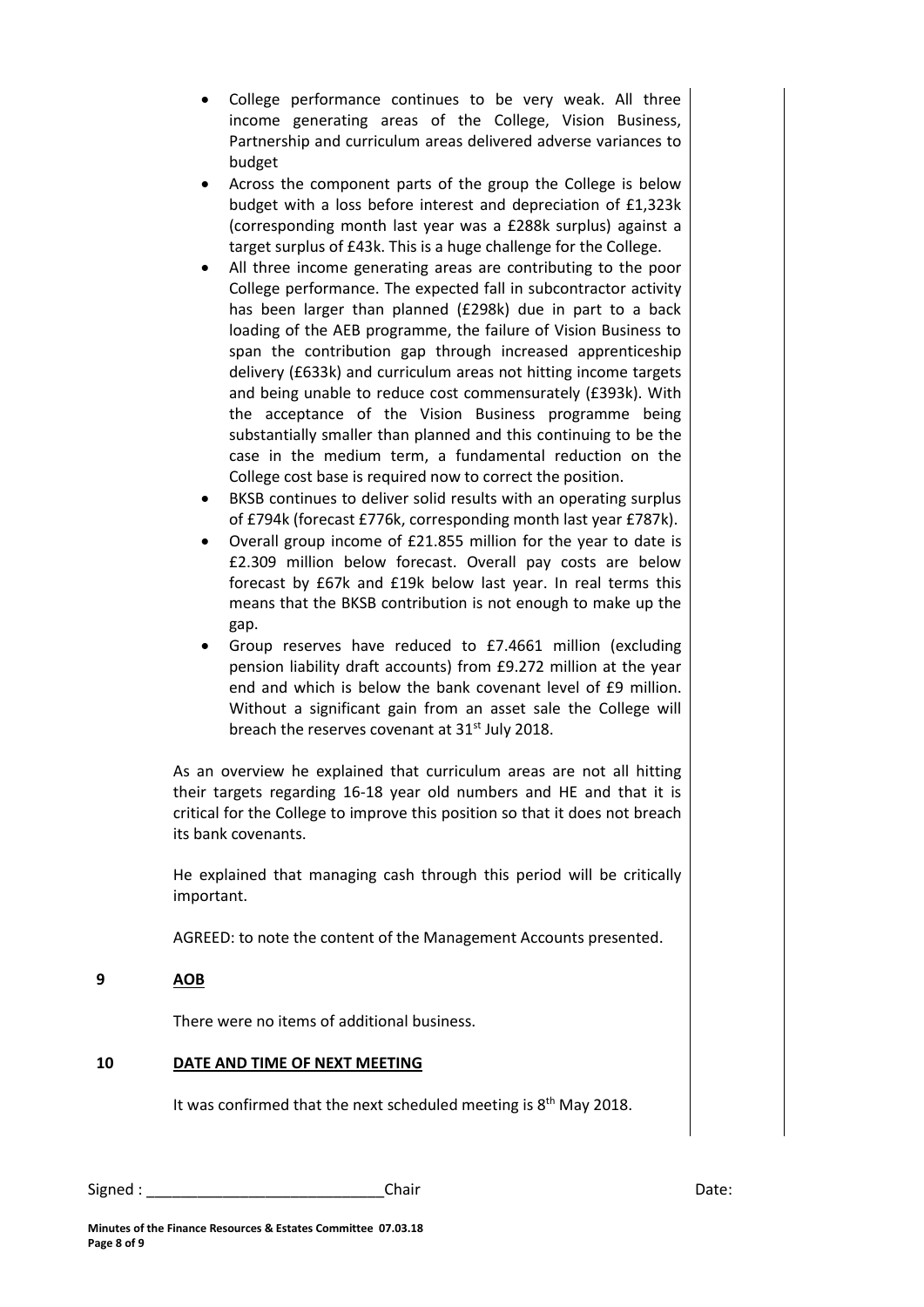- College performance continues to be very weak. All three income generating areas of the College, Vision Business, Partnership and curriculum areas delivered adverse variances to budget
- Across the component parts of the group the College is below budget with a loss before interest and depreciation of £1,323k (corresponding month last year was a £288k surplus) against a target surplus of £43k. This is a huge challenge for the College.
- All three income generating areas are contributing to the poor College performance. The expected fall in subcontractor activity has been larger than planned (£298k) due in part to a back loading of the AEB programme, the failure of Vision Business to span the contribution gap through increased apprenticeship delivery (£633k) and curriculum areas not hitting income targets and being unable to reduce cost commensurately (£393k). With the acceptance of the Vision Business programme being substantially smaller than planned and this continuing to be the case in the medium term, a fundamental reduction on the College cost base is required now to correct the position.
- BKSB continues to deliver solid results with an operating surplus of £794k (forecast £776k, corresponding month last year £787k).
- Overall group income of £21.855 million for the year to date is £2.309 million below forecast. Overall pay costs are below forecast by £67k and £19k below last year. In real terms this means that the BKSB contribution is not enough to make up the gap.
- Group reserves have reduced to £7.4661 million (excluding pension liability draft accounts) from £9.272 million at the year end and which is below the bank covenant level of £9 million. Without a significant gain from an asset sale the College will breach the reserves covenant at 31<sup>st</sup> July 2018.

As an overview he explained that curriculum areas are not all hitting their targets regarding 16-18 year old numbers and HE and that it is critical for the College to improve this position so that it does not breach its bank covenants.

He explained that managing cash through this period will be critically important.

AGREED: to note the content of the Management Accounts presented.

## **9 AOB**

There were no items of additional business.

## **10 DATE AND TIME OF NEXT MEETING**

It was confirmed that the next scheduled meeting is  $8<sup>th</sup>$  May 2018.